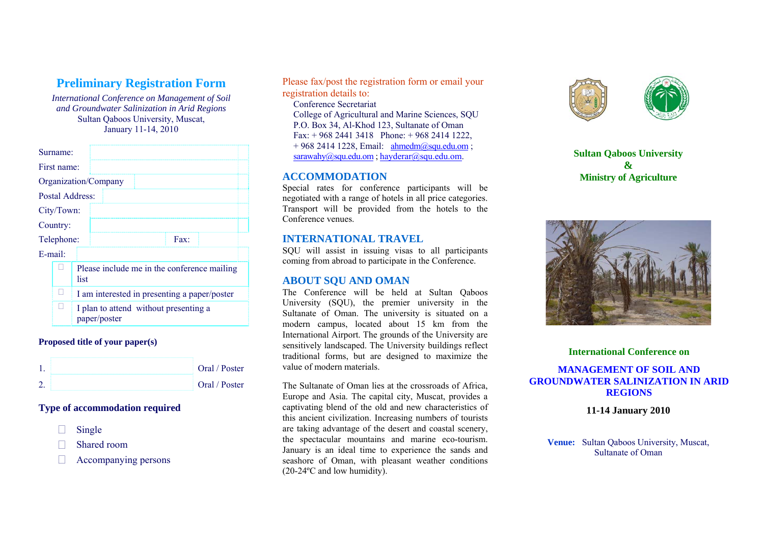# **Preliminary Registration Form**

*International Conference on Management of Soil and Groundwater Salinization in Arid Regions*  Sultan Qaboos University, Muscat, January 11-14, 2010

| Surname:        |  |                                                       |                      |  |      |  |
|-----------------|--|-------------------------------------------------------|----------------------|--|------|--|
| First name:     |  |                                                       |                      |  |      |  |
|                 |  |                                                       | Organization/Company |  |      |  |
| Postal Address: |  |                                                       |                      |  |      |  |
| City/Town:      |  |                                                       |                      |  |      |  |
| Country:        |  |                                                       |                      |  |      |  |
| Telephone:      |  |                                                       |                      |  | Fax: |  |
| $E$ -mail:      |  |                                                       |                      |  |      |  |
|                 |  | Please include me in the conference mailing<br>list   |                      |  |      |  |
|                 |  | I am interested in presenting a paper/poster          |                      |  |      |  |
|                 |  | I plan to attend without presenting a<br>paper/poster |                      |  |      |  |

#### **Proposed title of your paper(s)**

|  | Oral / Poster |
|--|---------------|
|  | Oral / Poster |

## **Type of accommodation required**

- П Single
- П Shared room
- $\Box$ Accompanying persons

Please fax/post the registration form or email your registration details to: Conference Secretariat

College of Agricultural and Marine Sciences, SQU P.O. Box 34, Al-Khod 123, Sultanate of Oman  $Fax + 96824413418$  Phone:  $\div$  968 2414 1222  $+ 968 2414 1228$ , Em[a](mailto:ahmedm@squ.edu.om)il:  $\frac{\text{ahmedm}(a)\text{sgu.eduom}}{\text{ahmedm}(a)}$  $\frac{\text{ahmedm}(a)\text{sgu.eduom}}{\text{ahmedm}(a)}$  $\frac{\text{ahmedm}(a)\text{sgu.eduom}}{\text{ahmedm}(a)}$ ; [sarawahy@squ.edu.om](mailto:sarawahy@squ.edu.om) ; hayderar@squ.edu.om.

# **ACCOMMODATION**

Special rates for conference participants will be negotiated with a range of hotels in all price categories. Transport will be provided from the hotels to the Conference venues.

## **INTERNATIONAL TRAVEL**

SQU will assist in issuing visas to all participants coming from abroad to participate in the Conference.

#### **ABOUT SQU AND OMAN**

The Conference will be held at Sultan Qaboos University (SQU), the premier university in the Sultanate of Oman. The university is situated on a modern campus, located about 15 km from the International Airport. The grounds of the University are sensitively landscaped. The University buildings reflect traditional forms, but are designed to maximize the value of modern materials.

The Sultanate of Oman lies at the crossroads of Africa, Europe and Asia. The capital city, Muscat, provides a captivating blend of the old and new characteristics of this ancient civilization. Increasing numbers of tourists are taking advantage of the desert and coastal scenery, the spectacular mountains and marine eco-tourism. January is an ideal time to experience the sands and seashore of Oman, with pleasant weather conditions (20-24ºC and low humidity).



**Sultan Qaboos University & Ministry of Agriculture** 



#### **International Conference on**

#### **MANAGEMENT OF SOIL AND GROUNDWATER SALINIZATION IN ARID REGIONS**

**11-14 January 2010** 

**Venue:** Sultan Qaboos University, Muscat, Sultanate of Oman